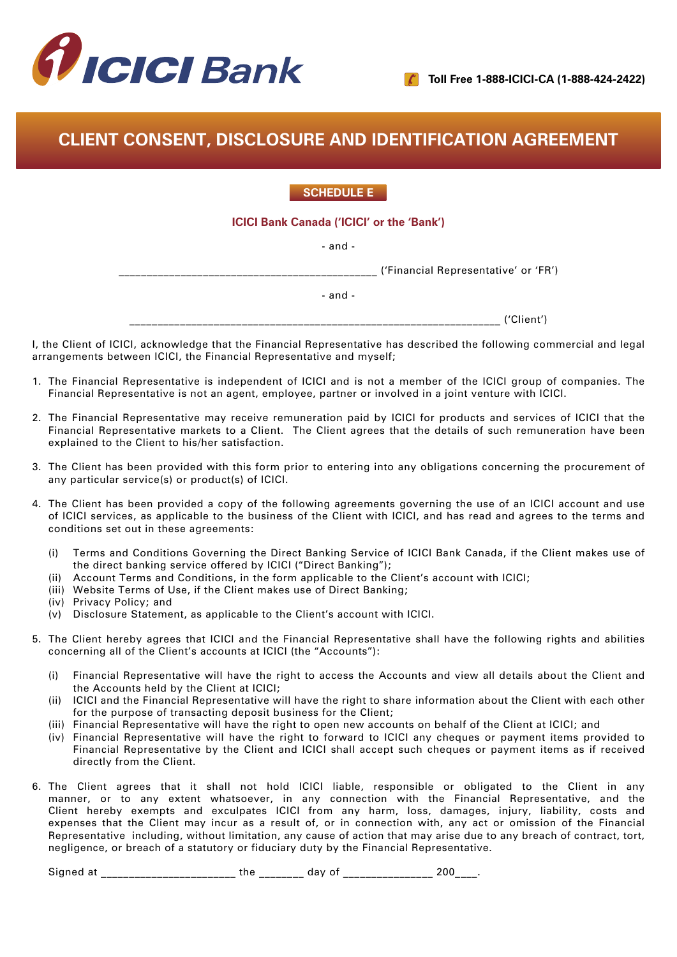

# **CLIENT CONSENT, DISCLOSURE AND IDENTIFICATION AGREEMENT**

## **SCHEDULE E**

#### **ICICI Bank Canada ('ICICI' or the 'Bank')**

- and -

\_\_\_\_\_\_\_\_\_\_\_\_\_\_\_\_\_\_\_\_\_\_\_\_\_\_\_\_\_\_\_\_\_\_\_\_\_\_\_\_\_\_\_\_\_\_ ('Financial Representative' or 'FR')

- and -

\_\_\_\_\_\_\_\_\_\_\_\_\_\_\_\_\_\_\_\_\_\_\_\_\_\_\_\_\_\_\_\_\_\_\_\_\_\_\_\_\_\_\_\_\_\_\_\_\_\_\_\_\_\_\_\_\_\_\_\_\_\_\_\_\_\_ ('Client')

I, the Client of ICICI, acknowledge that the Financial Representative has described the following commercial and legal arrangements between ICICI, the Financial Representative and myself;

- 1. The Financial Representative is independent of ICICI and is not a member of the ICICI group of companies. The Financial Representative is not an agent, employee, partner or involved in a joint venture with ICICI.
- 2. The Financial Representative may receive remuneration paid by ICICI for products and services of ICICI that the Financial Representative markets to a Client. The Client agrees that the details of such remuneration have been explained to the Client to his/her satisfaction.
- 3. The Client has been provided with this form prior to entering into any obligations concerning the procurement of any particular service(s) or product(s) of ICICI.
- 4. The Client has been provided a copy of the following agreements governing the use of an ICICI account and use of ICICI services, as applicable to the business of the Client with ICICI, and has read and agrees to the terms and conditions set out in these agreements:
	- (i) Terms and Conditions Governing the Direct Banking Service of ICICI Bank Canada, if the Client makes use of the direct banking service offered by ICICI ("Direct Banking");
	- (ii) Account Terms and Conditions, in the form applicable to the Client's account with ICICI;
	- (iii) Website Terms of Use, if the Client makes use of Direct Banking;
	- (iv) Privacy Policy; and
	- (v) Disclosure Statement, as applicable to the Client's account with ICICI.
- 5. The Client hereby agrees that ICICI and the Financial Representative shall have the following rights and abilities concerning all of the Client's accounts at ICICI (the "Accounts"):
	- (i) Financial Representative will have the right to access the Accounts and view all details about the Client and the Accounts held by the Client at ICICI;
	- (ii) ICICI and the Financial Representative will have the right to share information about the Client with each other for the purpose of transacting deposit business for the Client;
	- (iii) Financial Representative will have the right to open new accounts on behalf of the Client at ICICI; and
	- (iv) Financial Representative will have the right to forward to ICICI any cheques or payment items provided to Financial Representative by the Client and ICICI shall accept such cheques or payment items as if received directly from the Client.
- 6. The Client agrees that it shall not hold ICICI liable, responsible or obligated to the Client in any manner, or to any extent whatsoever, in any connection with the Financial Representative, and the Client hereby exempts and exculpates ICICI from any harm, loss, damages, injury, liability, costs and expenses that the Client may incur as a result of, or in connection with, any act or omission of the Financial Representative including, without limitation, any cause of action that may arise due to any breach of contract, tort, negligence, or breach of a statutory or fiduciary duty by the Financial Representative.

Signed at \_\_\_\_\_\_\_\_\_\_\_\_\_\_\_\_\_\_\_\_\_\_\_\_\_\_ the \_\_\_\_\_\_\_\_\_ day of \_\_\_\_\_\_\_\_\_\_\_\_\_\_\_\_\_\_\_\_\_ 200\_\_\_\_.